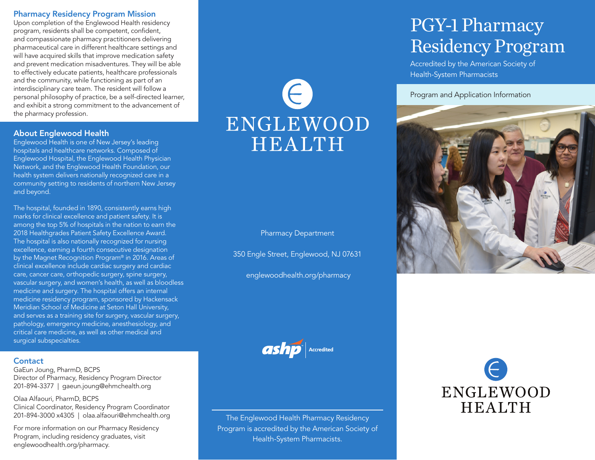## Pharmacy Residency Program Mission

Upon completion of the Englewood Health residency program, residents shall be competent, confident, and compassionate pharmacy practitioners delivering pharmaceutical care in different healthcare settings and will have acquired skills that improve medication safety and prevent medication misadventures. They will be able to effectively educate patients, healthcare professionals and the community, while functioning as part of an interdisciplinary care team. The resident will follow a personal philosophy of practice, be a self-directed learner, and exhibit a strong commitment to the advancement of the pharmacy profession.

### About Englewood Health

Englewood Health is one of New Jersey's leading hospitals and healthcare networks. Composed of Englewood Hospital, the Englewood Health Physician Network, and the Englewood Health Foundation, our health system delivers nationally recognized care in a community setting to residents of northern New Jersey and beyond.

The hospital, founded in 1890, consistently earns high marks for clinical excellence and patient safety. It is among the top 5% of hospitals in the nation to earn the 2018 Healthgrades Patient Safety Excellence Award. The hospital is also nationally recognized for nursing excellence, earning a fourth consecutive designation by the Magnet Recognition Program® in 2016. Areas of clinical excellence include cardiac surgery and cardiac care, cancer care, orthopedic surgery, spine surgery, vascular surgery, and women's health, as well as bloodless medicine and surgery. The hospital offers an internal medicine residency program, sponsored by Hackensack Meridian School of Medicine at Seton Hall University, and serves as a training site for surgery, vascular surgery, pathology, emergency medicine, anesthesiology, and critical care medicine, as well as other medical and surgical subspecialties.

#### **Contact**

GaEun Joung, PharmD, BCPS Director of Pharmacy, Residency Program Director 201-894-3377 | gaeun.joung@ehmchealth.org

Olaa Alfaouri, PharmD, BCPS Clinical Coordinator, Residency Program Coordinator 201-894-3000 x4305 | olaa.alfaouri@ehmchealth.org

For more information on our Pharmacy Residency Program, including residency graduates, visit englewoodhealth.org/pharmacy.

 $(\infty)$ ENGLEWOOD HEALTH

## Pharmacy Department

350 Engle Street, Englewood, NJ 07631

englewoodhealth.org/pharmacy

ashp Accredited

The Englewood Health Pharmacy Residency Program is accredited by the American Society of Health-System Pharmacists.

# PGY-1 Pharmacy Residency Program

Accredited by the American Society of Health-System Pharmacists

Program and Application Information